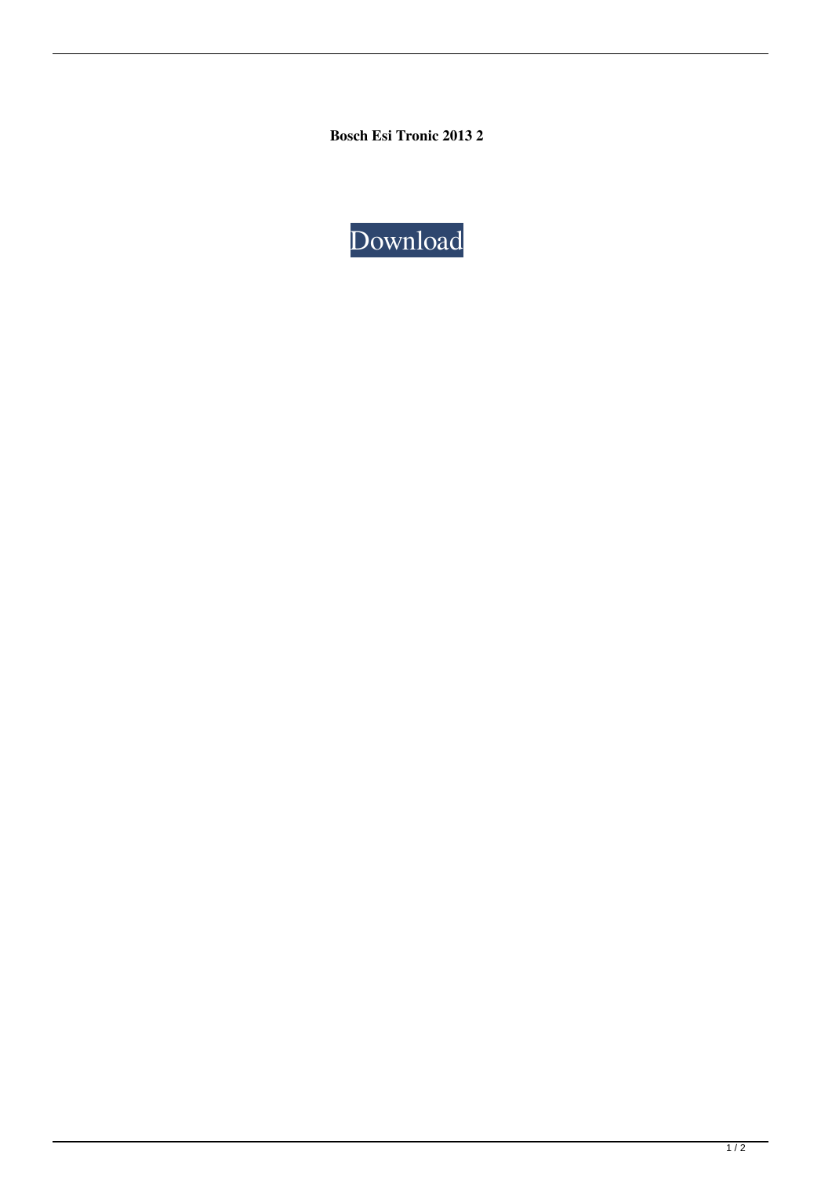**Bosch Esi Tronic 2013 2**